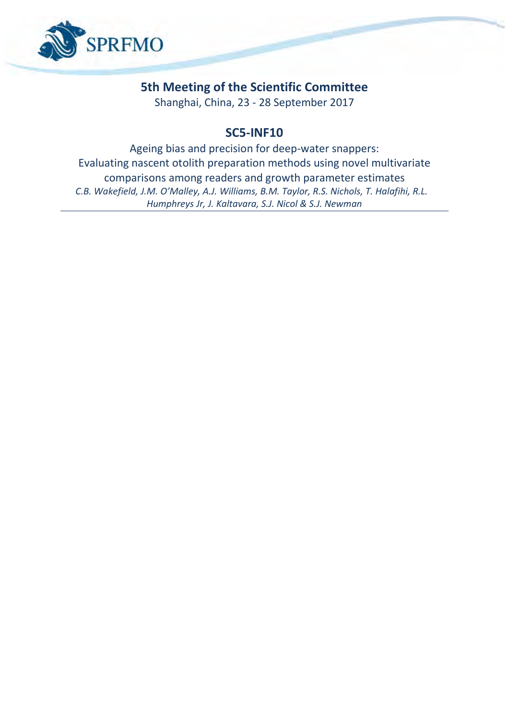

### **5th Meeting of the Scientific Committee**

Shanghai, China, 23 - 28 September 2017

## **SC5-INF10**

Ageing bias and precision for deep-water snappers: Evaluating nascent otolith preparation methods using novel multivariate comparisons among readers and growth parameter estimates *C.B. Wakefield, J.M. O'Malley, A.J. Williams, B.M. Taylor, R.S. Nichols, T. Halafihi, R.L. Humphreys Jr, J. Kaltavara, S.J. Nicol & S.J. Newman*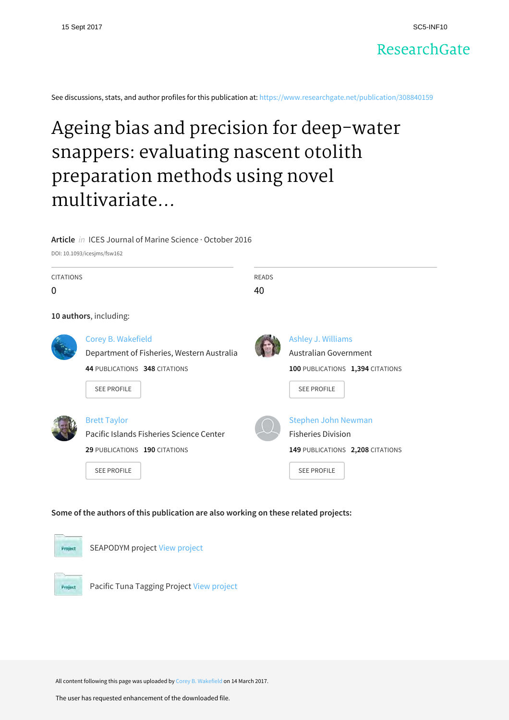

See discussions, stats, and author profiles for this publication at: https://www.researchgate.net/publication/308840159

## Ageing bias and precision for deep-water snappers: evaluating nascent otolith preparation methods using novel multivariate...

#### Article *in* ICES Journal of Marine Science · October 2016

DOI: 10.1093/icesjms/fsw162

| <b>CITATIONS</b><br>0  |                                                                                                                         | <b>READS</b><br>40 |                                                                                                                   |
|------------------------|-------------------------------------------------------------------------------------------------------------------------|--------------------|-------------------------------------------------------------------------------------------------------------------|
| 10 authors, including: |                                                                                                                         |                    |                                                                                                                   |
|                        | Corey B. Wakefield<br>Department of Fisheries, Western Australia<br>44 PUBLICATIONS 348 CITATIONS<br><b>SEE PROFILE</b> |                    | Ashley J. Williams<br><b>Australian Government</b><br>100 PUBLICATIONS 1,394 CITATIONS<br><b>SEE PROFILE</b>      |
|                        | <b>Brett Taylor</b><br>Pacific Islands Fisheries Science Center<br>29 PUBLICATIONS 190 CITATIONS<br><b>SEE PROFILE</b>  |                    | <b>Stephen John Newman</b><br><b>Fisheries Division</b><br>149 PUBLICATIONS 2,208 CITATIONS<br><b>SEE PROFILE</b> |

#### Some of the authors of this publication are also working on these related projects:



All content following this page was uploaded by Corey B. Wakefield on 14 March 2017.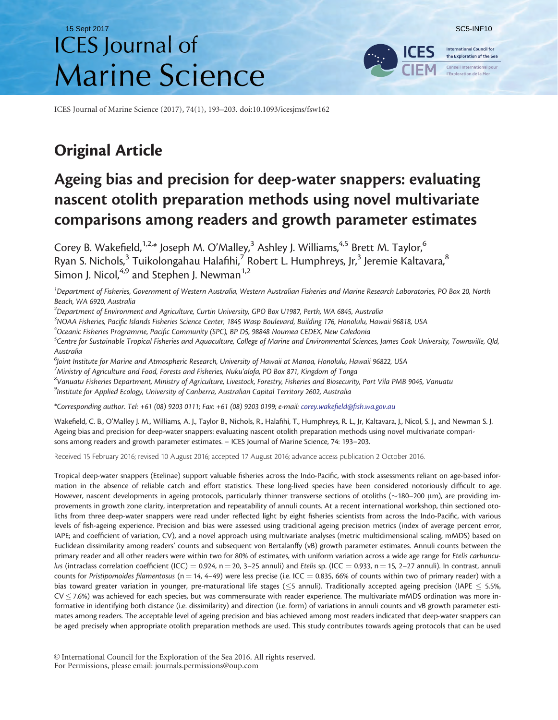# 15 Sept 2017 SC5-INF10 **Marine Science**



ICES Journal of Marine Science (2017), 74(1), 193–203. doi:10.1093/icesjms/fsw162

## Original Article

## Ageing bias and precision for deep-water snappers: evaluating nascent otolith preparation methods using novel multivariate comparisons among readers and growth parameter estimates

Corey B. Wakefield,  $1.2.*$  Joseph M. O'Malley, $3$  Ashley J. Williams,  $4.5$  Brett M. Taylor,  $6$ Ryan S. Nichols,<sup>3</sup> Tuikolongahau Halafihi,<sup>7</sup> Robert L. Humphreys, Jr,<sup>3</sup> Jeremie Kaltavara,<sup>8</sup> Simon J. Nicol,  $4,9$  and Stephen J. Newman<sup>1,2</sup>

<sup>1</sup>Department of Fisheries, Government of Western Australia, Western Australian Fisheries and Marine Research Laboratories, PO Box 20, North Beach, WA 6920, Australia

 $^2$ Department of Environment and Agriculture, Curtin University, GPO Box U1987, Perth, WA 6845, Australia

<sup>3</sup>NOAA Fisheries, Pacific Islands Fisheries Science Center, 1845 Wasp Boulevard, Building 176, Honolulu, Hawaii 96818, USA

<sup>4</sup>Oceanic Fisheries Programme, Pacific Community (SPC), BP D5, 98848 Noumea CEDEX, New Caledonia

<sup>5</sup>Centre for Sustainable Tropical Fisheries and Aquaculture, College of Marine and Environmental Sciences, James Cook University, Townsville, Qld, Australia

<sup>6</sup>Joint Institute for Marine and Atmospheric Research, University of Hawaii at Manoa, Honolulu, Hawaii 96822, USA

 $^7$ Ministry of Agriculture and Food, Forests and Fisheries, Nuku'alofa, PO Box 871, Kingdom of Tonga

 $^8$ Vanuatu Fisheries Department, Ministry of Agriculture, Livestock, Forestry, Fisheries and Biosecurity, Port Vila PMB 9045, Vanuatu

<sup>9</sup>Institute for Applied Ecology, University of Canberra, Australian Capital Territory 2602, Australia

\*Corresponding author. Tel: +61 (08) 9203 0111; Fax: +61 (08) 9203 0199; e-mail: [corey.wakefield@fish.wa.gov.au](mailto:corey.wakefield@fish.wa.gov.au)

Wakefield, C. B., O'Malley J. M., Williams, A. J., Taylor B., Nichols, R., Halafihi, T., Humphreys, R. L., Jr, Kaltavara, J., Nicol, S. J., and Newman S. J. Ageing bias and precision for deep-water snappers: evaluating nascent otolith preparation methods using novel multivariate comparisons among readers and growth parameter estimates. – ICES Journal of Marine Science, 74: 193–203.

Received 15 February 2016; revised 10 August 2016; accepted 17 August 2016; advance access publication 2 October 2016.

Tropical deep-water snappers (Etelinae) support valuable fisheries across the Indo-Pacific, with stock assessments reliant on age-based information in the absence of reliable catch and effort statistics. These long-lived species have been considered notoriously difficult to age. However, nascent developments in ageing protocols, particularly thinner transverse sections of otoliths (~180-200 µm), are providing improvements in growth zone clarity, interpretation and repeatability of annuli counts. At a recent international workshop, thin sectioned otoliths from three deep-water snappers were read under reflected light by eight fisheries scientists from across the Indo-Pacific, with various levels of fish-ageing experience. Precision and bias were assessed using traditional ageing precision metrics (index of average percent error, IAPE; and coefficient of variation, CV), and a novel approach using multivariate analyses (metric multidimensional scaling, mMDS) based on Euclidean dissimilarity among readers' counts and subsequent von Bertalanffy (vB) growth parameter estimates. Annuli counts between the primary reader and all other readers were within two for 80% of estimates, with uniform variation across a wide age range for Etelis carbunculus (intraclass correlation coefficient (ICC) = 0.924, n = 20, 3-25 annuli) and Etelis sp. (ICC = 0.933, n = 15, 2-27 annuli). In contrast, annuli counts for Pristipomoides filamentosus ( $n = 14$ , 4–49) were less precise (i.e. ICC = 0.835, 66% of counts within two of primary reader) with a bias toward greater variation in younger, pre-maturational life stages ( $\leq$ 5 annuli). Traditionally accepted ageing precision (IAPE  $\leq$  5.5%,  $CV \le 7.6%$ ) was achieved for each species, but was commensurate with reader experience. The multivariate mMDS ordination was more informative in identifying both distance (i.e. dissimilarity) and direction (i.e. form) of variations in annuli counts and vB growth parameter estimates among readers. The acceptable level of ageing precision and bias achieved among most readers indicated that deep-water snappers can be aged precisely when appropriate otolith preparation methods are used. This study contributes towards ageing protocols that can be used

V<sup>C</sup> International Council for the Exploration of the Sea 2016. All rights reserved. For Permissions, please email: journals.permissions@oup.com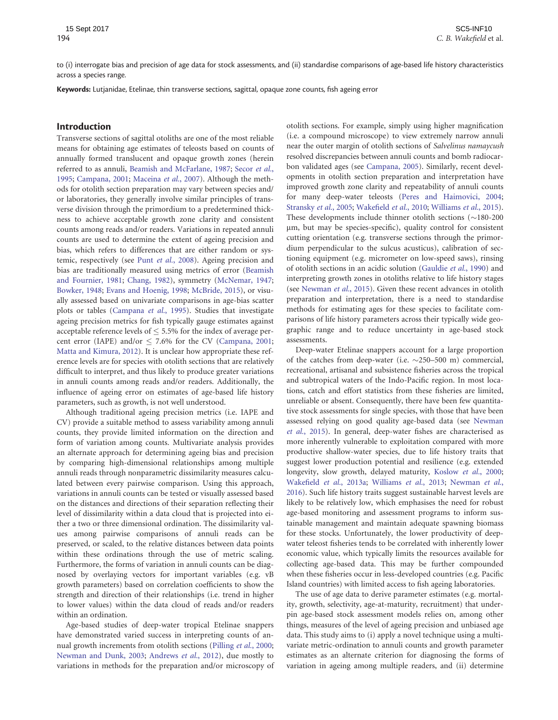to (i) interrogate bias and precision of age data for stock assessments, and (ii) standardise comparisons of age-based life history characteristics across a species range.

Keywords: Lutjanidae, Etelinae, thin transverse sections, sagittal, opaque zone counts, fish ageing error

#### Introduction

Transverse sections of sagittal otoliths are one of the most reliable means for obtaining age estimates of teleosts based on counts of annually formed translucent and opaque growth zones (herein referred to as annuli, [Beamish and McFarlane, 1987;](#page-10-0) [Secor](#page-11-0) et al., [1995;](#page-11-0) [Campana, 2001](#page-11-0); [Maceina](#page-11-0) et al., 2007). Although the methods for otolith section preparation may vary between species and/ or laboratories, they generally involve similar principles of transverse division through the primordium to a predetermined thickness to achieve acceptable growth zone clarity and consistent counts among reads and/or readers. Variations in repeated annuli counts are used to determine the extent of ageing precision and bias, which refers to differences that are either random or systemic, respectively (see Punt et al.[, 2008\)](#page-11-0). Ageing precision and bias are traditionally measured using metrics of error ([Beamish](#page-10-0) [and Fournier, 1981](#page-10-0); [Chang, 1982\)](#page-11-0), symmetry ([McNemar, 1947](#page-11-0); [Bowker, 1948;](#page-11-0) [Evans and Hoenig, 1998;](#page-11-0) [McBride, 2015\)](#page-11-0), or visually assessed based on univariate comparisons in age-bias scatter plots or tables ([Campana](#page-11-0) et al., 1995). Studies that investigate ageing precision metrics for fish typically gauge estimates against acceptable reference levels of  $\leq 5.5\%$  for the index of average percent error (IAPE) and/or  $\leq 7.6\%$  for the CV ([Campana, 2001](#page-11-0); [Matta and Kimura, 2012\)](#page-11-0). It is unclear how appropriate these reference levels are for species with otolith sections that are relatively difficult to interpret, and thus likely to produce greater variations in annuli counts among reads and/or readers. Additionally, the influence of ageing error on estimates of age-based life history parameters, such as growth, is not well understood.

Although traditional ageing precision metrics (i.e. IAPE and CV) provide a suitable method to assess variability among annuli counts, they provide limited information on the direction and form of variation among counts. Multivariate analysis provides an alternate approach for determining ageing bias and precision by comparing high-dimensional relationships among multiple annuli reads through nonparametric dissimilarity measures calculated between every pairwise comparison. Using this approach, variations in annuli counts can be tested or visually assessed based on the distances and directions of their separation reflecting their level of dissimilarity within a data cloud that is projected into either a two or three dimensional ordination. The dissimilarity values among pairwise comparisons of annuli reads can be preserved, or scaled, to the relative distances between data points within these ordinations through the use of metric scaling. Furthermore, the forms of variation in annuli counts can be diagnosed by overlaying vectors for important variables (e.g. vB growth parameters) based on correlation coefficients to show the strength and direction of their relationships (i.e. trend in higher to lower values) within the data cloud of reads and/or readers within an ordination.

Age-based studies of deep-water tropical Etelinae snappers have demonstrated varied success in interpreting counts of annual growth increments from otolith sections [\(Pilling](#page-11-0) et al., 2000; [Newman and Dunk, 2003;](#page-11-0) [Andrews](#page-10-0) et al., 2012), due mostly to variations in methods for the preparation and/or microscopy of otolith sections. For example, simply using higher magnification (i.e. a compound microscope) to view extremely narrow annuli near the outer margin of otolith sections of Salvelinus namaycush resolved discrepancies between annuli counts and bomb radiocarbon validated ages (see [Campana, 2005\)](#page-11-0). Similarly, recent developments in otolith section preparation and interpretation have improved growth zone clarity and repeatability of annuli counts for many deep-water teleosts [\(Peres and Haimovici, 2004;](#page-11-0) [Stransky](#page-11-0) et al., 2005; [Wakefield](#page-11-0) et al., 2010; [Williams](#page-12-0) et al., 2015). These developments include thinner otolith sections  $(\sim]180-200$ mm, but may be species-specific), quality control for consistent cutting orientation (e.g. transverse sections through the primordium perpendicular to the sulcus acusticus), calibration of sectioning equipment (e.g. micrometer on low-speed saws), rinsing of otolith sections in an acidic solution [\(Gauldie](#page-11-0) et al., 1990) and interpreting growth zones in otoliths relative to life history stages (see [Newman](#page-11-0) et al., 2015). Given these recent advances in otolith preparation and interpretation, there is a need to standardise methods for estimating ages for these species to facilitate comparisons of life history parameters across their typically wide geographic range and to reduce uncertainty in age-based stock assessments.

Deep-water Etelinae snappers account for a large proportion of the catches from deep-water (i.e.  $\sim$ 250–500 m) commercial, recreational, artisanal and subsistence fisheries across the tropical and subtropical waters of the Indo-Pacific region. In most locations, catch and effort statistics from these fisheries are limited, unreliable or absent. Consequently, there have been few quantitative stock assessments for single species, with those that have been assessed relying on good quality age-based data (see [Newman](#page-11-0) et al.[, 2015](#page-11-0)). In general, deep-water fishes are characterised as more inherently vulnerable to exploitation compared with more productive shallow-water species, due to life history traits that suggest lower production potential and resilience (e.g. extended longevity, slow growth, delayed maturity, [Koslow](#page-11-0) et al., 2000; [Wakefield](#page-11-0) et al., 2013a; [Williams](#page-12-0) et al., 2013; [Newman](#page-11-0) et al., [2016\)](#page-11-0). Such life history traits suggest sustainable harvest levels are likely to be relatively low, which emphasises the need for robust age-based monitoring and assessment programs to inform sustainable management and maintain adequate spawning biomass for these stocks. Unfortunately, the lower productivity of deepwater teleost fisheries tends to be correlated with inherently lower economic value, which typically limits the resources available for collecting age-based data. This may be further compounded when these fisheries occur in less-developed countries (e.g. Pacific Island countries) with limited access to fish ageing laboratories.

The use of age data to derive parameter estimates (e.g. mortality, growth, selectivity, age-at-maturity, recruitment) that underpin age-based stock assessment models relies on, among other things, measures of the level of ageing precision and unbiased age data. This study aims to (i) apply a novel technique using a multivariate metric-ordination to annuli counts and growth parameter estimates as an alternate criterion for diagnosing the forms of variation in ageing among multiple readers, and (ii) determine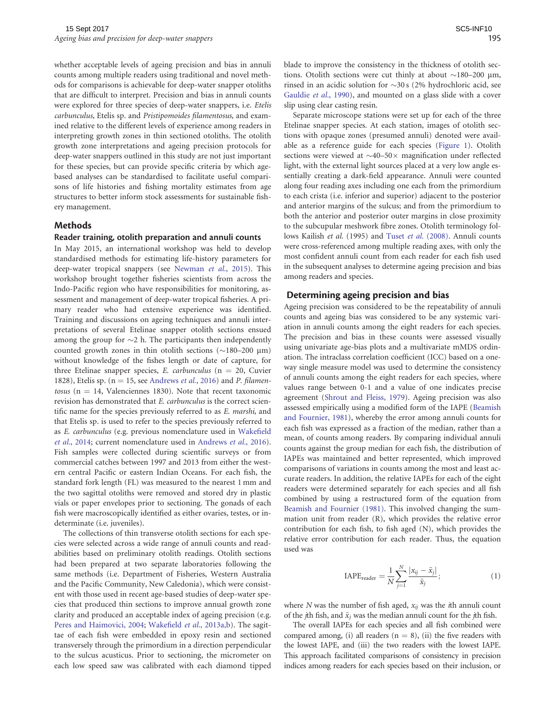whether acceptable levels of ageing precision and bias in annuli counts among multiple readers using traditional and novel methods for comparisons is achievable for deep-water snapper otoliths that are difficult to interpret. Precision and bias in annuli counts were explored for three species of deep-water snappers, i.e. Etelis carbunculus, Etelis sp. and Pristipomoides filamentosus, and examined relative to the different levels of experience among readers in interpreting growth zones in thin sectioned otoliths. The otolith growth zone interpretations and ageing precision protocols for deep-water snappers outlined in this study are not just important for these species, but can provide specific criteria by which agebased analyses can be standardised to facilitate useful comparisons of life histories and fishing mortality estimates from age structures to better inform stock assessments for sustainable fishery management.

#### Methods

#### Reader training, otolith preparation and annuli counts

In May 2015, an international workshop was held to develop standardised methods for estimating life-history parameters for deep-water tropical snappers (see [Newman](#page-11-0) et al., 2015). This workshop brought together fisheries scientists from across the Indo-Pacific region who have responsibilities for monitoring, assessment and management of deep-water tropical fisheries. A primary reader who had extensive experience was identified. Training and discussions on ageing techniques and annuli interpretations of several Etelinae snapper otolith sections ensued among the group for  $\sim$ 2 h. The participants then independently counted growth zones in thin otolith sections ( $\sim$ 180–200  $\mu$ m) without knowledge of the fishes length or date of capture, for three Etelinae snapper species, E. carbunculus ( $n = 20$ , Cuvier 1828), Etelis sp. ( $n = 15$ , see [Andrews](#page-10-0) *et al.*, 2016) and *P. filamen*tosus ( $n = 14$ , Valenciennes 1830). Note that recent taxonomic revision has demonstrated that E. carbunculus is the correct scientific name for the species previously referred to as E. marshi, and that Etelis sp. is used to refer to the species previously referred to as E. carbunculus (e.g. previous nomenclature used in [Wakefield](#page-12-0) et al.[, 2014;](#page-12-0) current nomenclature used in [Andrews](#page-10-0) et al., 2016). Fish samples were collected during scientific surveys or from commercial catches between 1997 and 2013 from either the western central Pacific or eastern Indian Oceans. For each fish, the standard fork length (FL) was measured to the nearest 1 mm and the two sagittal otoliths were removed and stored dry in plastic vials or paper envelopes prior to sectioning. The gonads of each fish were macroscopically identified as either ovaries, testes, or indeterminate (i.e. juveniles).

The collections of thin transverse otolith sections for each species were selected across a wide range of annuli counts and readabilities based on preliminary otolith readings. Otolith sections had been prepared at two separate laboratories following the same methods (i.e. Department of Fisheries, Western Australia and the Pacific Community, New Caledonia), which were consistent with those used in recent age-based studies of deep-water species that produced thin sections to improve annual growth zone clarity and produced an acceptable index of ageing precision (e.g. [Peres and Haimovici, 2004](#page-11-0); [Wakefield](#page-11-0) et al., 2013a,b). The sagittae of each fish were embedded in epoxy resin and sectioned transversely through the primordium in a direction perpendicular to the sulcus acusticus. Prior to sectioning, the micrometer on each low speed saw was calibrated with each diamond tipped blade to improve the consistency in the thickness of otolith sections. Otolith sections were cut thinly at about  $\sim$ 180–200 µm, rinsed in an acidic solution for  $\sim$ 30 s (2% hydrochloric acid, see [Gauldie](#page-11-0) et al., 1990), and mounted on a glass slide with a cover slip using clear casting resin.

Separate microscope stations were set up for each of the three Etelinae snapper species. At each station, images of otolith sections with opaque zones (presumed annuli) denoted were available as a reference guide for each species [\(Figure 1](#page-5-0)). Otolith sections were viewed at  $\sim$ 40–50 $\times$  magnification under reflected light, with the external light sources placed at a very low angle essentially creating a dark-field appearance. Annuli were counted along four reading axes including one each from the primordium to each crista (i.e. inferior and superior) adjacent to the posterior and anterior margins of the sulcus; and from the primordium to both the anterior and posterior outer margins in close proximity to the subcupular meshwork fibre zones. Otolith terminology follows Kailish et al. (1995) and Tuset et al. [\(2008\)](#page-11-0). Annuli counts were cross-referenced among multiple reading axes, with only the most confident annuli count from each reader for each fish used in the subsequent analyses to determine ageing precision and bias among readers and species.

#### Determining ageing precision and bias

Ageing precision was considered to be the repeatability of annuli counts and ageing bias was considered to be any systemic variation in annuli counts among the eight readers for each species. The precision and bias in these counts were assessed visually using univariate age-bias plots and a multivariate mMDS ordination. The intraclass correlation coefficient (ICC) based on a oneway single measure model was used to determine the consistency of annuli counts among the eight readers for each species, where values range between 0-1 and a value of one indicates precise agreement [\(Shrout and Fleiss, 1979](#page-11-0)). Ageing precision was also assessed empirically using a modified form of the IAPE [\(Beamish](#page-10-0) [and Fournier, 1981](#page-10-0)), whereby the error among annuli counts for each fish was expressed as a fraction of the median, rather than a mean, of counts among readers. By comparing individual annuli counts against the group median for each fish, the distribution of IAPEs was maintained and better represented, which improved comparisons of variations in counts among the most and least accurate readers. In addition, the relative IAPEs for each of the eight readers were determined separately for each species and all fish combined by using a restructured form of the equation from [Beamish and Fournier \(1981\).](#page-10-0) This involved changing the summation unit from reader (R), which provides the relative error contribution for each fish, to fish aged (N), which provides the relative error contribution for each reader. Thus, the equation used was

$$
IAPE_{\text{reader}} = \frac{1}{N} \sum_{j=1}^{N} \frac{|x_{ij} - \tilde{x}_j|}{\tilde{x}_j};
$$
 (1)

where  $N$  was the number of fish aged,  $x_{ij}$  was the *i*th annuli count of the jth fish, and  $\tilde{x}_j$  was the median annuli count for the jth fish.

The overall IAPEs for each species and all fish combined were compared among, (i) all readers  $(n = 8)$ , (ii) the five readers with the lowest IAPE, and (iii) the two readers with the lowest IAPE. This approach facilitated comparisons of consistency in precision indices among readers for each species based on their inclusion, or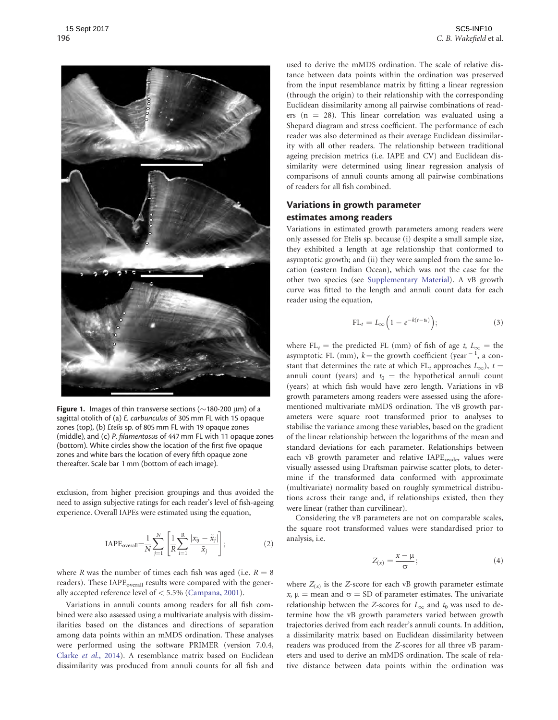<span id="page-5-0"></span>

Figure 1. Images of thin transverse sections ( $\sim$ 180-200  $\mu$ m) of a sagittal otolith of (a) E. carbunculus of 305 mm FL with 15 opaque zones (top), (b) Etelis sp. of 805 mm FL with 19 opaque zones (middle), and (c) P. filamentosus of 447 mm FL with 11 opaque zones (bottom). White circles show the location of the first five opaque zones and white bars the location of every fifth opaque zone thereafter. Scale bar 1 mm (bottom of each image).

exclusion, from higher precision groupings and thus avoided the need to assign subjective ratings for each reader's level of fish-ageing experience. Overall IAPEs were estimated using the equation,

$$
IAPE_{\text{overall}} = \frac{1}{N} \sum_{j=1}^{N} \left[ \frac{1}{R} \sum_{i=1}^{R} \frac{|x_{ij} - \tilde{x}_j|}{\tilde{x}_j} \right];
$$
 (2)

where R was the number of times each fish was aged (i.e.  $R = 8$ readers). These IAPE<sub>overall</sub> results were compared with the generally accepted reference level of < 5.5% ([Campana, 2001](#page-11-0)).

Variations in annuli counts among readers for all fish combined were also assessed using a multivariate analysis with dissimilarities based on the distances and directions of separation among data points within an mMDS ordination. These analyses were performed using the software PRIMER (version 7.0.4, [Clarke](#page-11-0) et al., 2014). A resemblance matrix based on Euclidean dissimilarity was produced from annuli counts for all fish and

used to derive the mMDS ordination. The scale of relative distance between data points within the ordination was preserved from the input resemblance matrix by fitting a linear regression (through the origin) to their relationship with the corresponding Euclidean dissimilarity among all pairwise combinations of readers ( $n = 28$ ). This linear correlation was evaluated using a Shepard diagram and stress coefficient. The performance of each reader was also determined as their average Euclidean dissimilarity with all other readers. The relationship between traditional ageing precision metrics (i.e. IAPE and CV) and Euclidean dissimilarity were determined using linear regression analysis of comparisons of annuli counts among all pairwise combinations of readers for all fish combined.

#### Variations in growth parameter estimates among readers

Variations in estimated growth parameters among readers were only assessed for Etelis sp. because (i) despite a small sample size, they exhibited a length at age relationship that conformed to asymptotic growth; and (ii) they were sampled from the same location (eastern Indian Ocean), which was not the case for the other two species (see [Supplementary Material](http://icesjms.oxfordjournals.org/lookup/suppl/doi:10.1093/icesjms/fsw162/-/DC1)). A vB growth curve was fitted to the length and annuli count data for each reader using the equation,

$$
\mathrm{FL}_{t}=L_{\infty}\left(1-e^{-k(t-t_{0})}\right);
$$
\n(3)

where  $FL_t$  = the predicted FL (mm) of fish of age t,  $L_{\infty}$  = the asymptotic FL (mm),  $k$  = the growth coefficient (year  $^{-1}$ , a constant that determines the rate at which  $FL_t$  approaches  $L_{\infty}$ ),  $t =$ annuli count (years) and  $t_0 =$  the hypothetical annuli count (years) at which fish would have zero length. Variations in vB growth parameters among readers were assessed using the aforementioned multivariate mMDS ordination. The vB growth parameters were square root transformed prior to analyses to stabilise the variance among these variables, based on the gradient of the linear relationship between the logarithms of the mean and standard deviations for each parameter. Relationships between each vB growth parameter and relative IAPE<sub>reader</sub> values were visually assessed using Draftsman pairwise scatter plots, to determine if the transformed data conformed with approximate (multivariate) normality based on roughly symmetrical distributions across their range and, if relationships existed, then they were linear (rather than curvilinear).

Considering the vB parameters are not on comparable scales, the square root transformed values were standardised prior to analysis, i.e.

$$
Z_{(x)} = \frac{x - \mu}{\sigma};
$$
\n(4)

where  $Z(x)$  is the Z-score for each vB growth parameter estimate x,  $\mu$  = mean and  $\sigma$  = SD of parameter estimates. The univariate relationship between the Z-scores for  $L_{\infty}$  and  $t_0$  was used to determine how the vB growth parameters varied between growth trajectories derived from each reader's annuli counts. In addition, a dissimilarity matrix based on Euclidean dissimilarity between readers was produced from the Z-scores for all three vB parameters and used to derive an mMDS ordination. The scale of relative distance between data points within the ordination was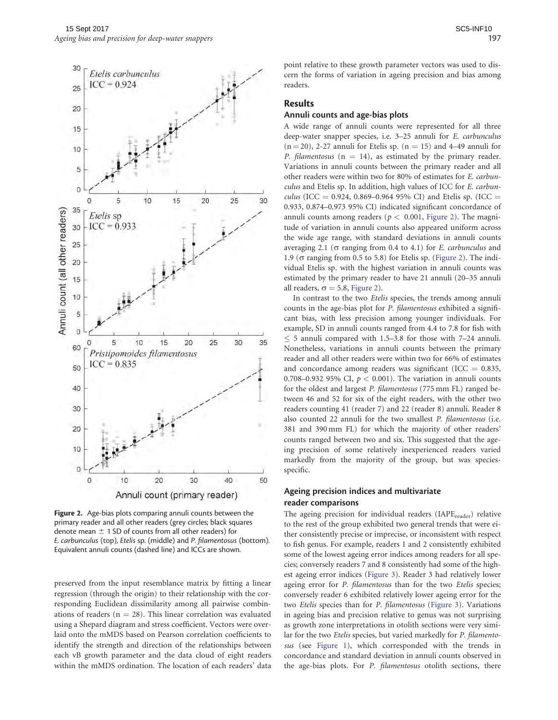

Figure 2. Age-bias plots comparing annuli counts between the primary reader and all other readers (grey circles; black squares denote mean  $\pm$  1 SD of counts from all other readers) for E. carbunculus (top), Etelis sp. (middle) and P. filamentosus (bottom). Equivalent annuli counts (dashed line) and ICCs are shown.

preserved from the input resemblance matrix by fitting a linear regression (through the origin) to their relationship with the corresponding Euclidean dissimilarity among all pairwise combinations of readers ( $n = 28$ ). This linear correlation was evaluated using a Shepard diagram and stress coefficient. Vectors were overlaid onto the mMDS based on Pearson correlation coefficients to identify the strength and direction of the relationships between each vB growth parameter and the data cloud of eight readers within the mMDS ordination. The location of each readers' data

point relative to these growth parameter vectors was used to discern the forms of variation in ageing precision and bias among readers.

#### Results

#### Annuli counts and age-bias plots

A wide range of annuli counts were represented for all three deep-water snapper species, i.e. 3–25 annuli for E. carbunculus  $(n = 20)$ , 2-27 annuli for Etelis sp.  $(n = 15)$  and 4-49 annuli for P. filamentosus ( $n = 14$ ), as estimated by the primary reader. Variations in annuli counts between the primary reader and all other readers were within two for 80% of estimates for E. carbunculus and Etelis sp. In addition, high values of ICC for E. carbunculus (ICC = 0.924, 0.869–0.964 95% CI) and Etelis sp. (ICC = 0.933, 0.874–0.973 95% CI) indicated significant concordance of annuli counts among readers ( $p < 0.001$ , Figure 2). The magnitude of variation in annuli counts also appeared uniform across the wide age range, with standard deviations in annuli counts averaging 2.1 ( $\sigma$  ranging from 0.4 to 4.1) for E. carbunculus and 1.9 ( $\sigma$  ranging from 0.5 to 5.8) for Etelis sp. (Figure 2). The individual Etelis sp. with the highest variation in annuli counts was estimated by the primary reader to have 21 annuli (20–35 annuli all readers,  $\sigma = 5.8$ , Figure 2).

In contrast to the two Etelis species, the trends among annuli counts in the age-bias plot for P. filamentosus exhibited a significant bias, with less precision among younger individuals. For example, SD in annuli counts ranged from 4.4 to 7.8 for fish with  $<$  5 annuli compared with 1.5–3.8 for those with 7–24 annuli. Nonetheless, variations in annuli counts between the primary reader and all other readers were within two for 66% of estimates and concordance among readers was significant (ICC  $= 0.835$ , 0.708–0.932 95% CI,  $p < 0.001$ ). The variation in annuli counts for the oldest and largest P. filamentosus (775 mm FL) ranged between 46 and 52 for six of the eight readers, with the other two readers counting 41 (reader 7) and 22 (reader 8) annuli. Reader 8 also counted 22 annuli for the two smallest P. filamentosus (i.e. 381 and 390 mm FL) for which the majority of other readers' counts ranged between two and six. This suggested that the ageing precision of some relatively inexperienced readers varied markedly from the majority of the group, but was speciesspecific.

#### Ageing precision indices and multivariate reader comparisons

The ageing precision for individual readers (IAPE<sub>reader</sub>) relative to the rest of the group exhibited two general trends that were either consistently precise or imprecise, or inconsistent with respect to fish genus. For example, readers 1 and 2 consistently exhibited some of the lowest ageing error indices among readers for all species; conversely readers 7 and 8 consistently had some of the highest ageing error indices ([Figure 3\)](#page-7-0). Reader 3 had relatively lower ageing error for P. filamentosus than for the two Etelis species; conversely reader 6 exhibited relatively lower ageing error for the two Etelis species than for P. filamentosus ([Figure 3\)](#page-7-0). Variations in ageing bias and precision relative to genus was not surprising as growth zone interpretations in otolith sections were very similar for the two Etelis species, but varied markedly for P. filamentosus (see [Figure 1\)](#page-5-0), which corresponded with the trends in concordance and standard deviation in annuli counts observed in the age-bias plots. For P. filamentosus otolith sections, there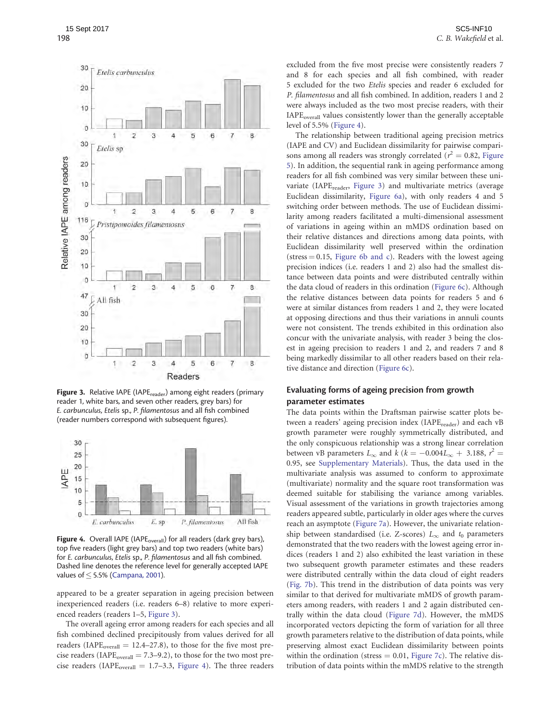<span id="page-7-0"></span>

Figure 3. Relative IAPE (IAPE<sub>reader</sub>) among eight readers (primary reader 1, white bars, and seven other readers, grey bars) for E. carbunculus, Etelis sp., P. filamentosus and all fish combined (reader numbers correspond with subsequent figures).



Figure 4. Overall IAPE (IAPE<sub>overall</sub>) for all readers (dark grey bars), top five readers (light grey bars) and top two readers (white bars) for E. carbunculus, Etelis sp., P. filamentosus and all fish combined. Dashed line denotes the reference level for generally accepted IAPE values of  $\leq$  5.5% [\(Campana, 2001\)](#page-11-0).

appeared to be a greater separation in ageing precision between inexperienced readers (i.e. readers 6–8) relative to more experienced readers (readers 1–5, Figure 3).

The overall ageing error among readers for each species and all fish combined declined precipitously from values derived for all readers (IAPE<sub>overall</sub> = 12.4–27.8), to those for the five most precise readers (IAPE<sub>overall</sub> = 7.3–9.2), to those for the two most precise readers (IAPE<sub>overall</sub> = 1.7-3.3, Figure 4). The three readers excluded from the five most precise were consistently readers 7 and 8 for each species and all fish combined, with reader 5 excluded for the two Etelis species and reader 6 excluded for P. filamentosus and all fish combined. In addition, readers 1 and 2 were always included as the two most precise readers, with their IAPE<sub>overall</sub> values consistently lower than the generally acceptable level of 5.5% (Figure 4).

The relationship between traditional ageing precision metrics (IAPE and CV) and Euclidean dissimilarity for pairwise comparisons among all readers was strongly correlated ( $r^2 = 0.82$ , [Figure](#page-8-0) [5\)](#page-8-0). In addition, the sequential rank in ageing performance among readers for all fish combined was very similar between these univariate (IAPE<sub>reader</sub>, Figure 3) and multivariate metrics (average Euclidean dissimilarity, [Figure 6a](#page-8-0)), with only readers 4 and 5 switching order between methods. The use of Euclidean dissimilarity among readers facilitated a multi-dimensional assessment of variations in ageing within an mMDS ordination based on their relative distances and directions among data points, with Euclidean dissimilarity well preserved within the ordination (stress  $= 0.15$ , [Figure 6b and c\)](#page-8-0). Readers with the lowest ageing precision indices (i.e. readers 1 and 2) also had the smallest distance between data points and were distributed centrally within the data cloud of readers in this ordination [\(Figure 6c\)](#page-8-0). Although the relative distances between data points for readers 5 and 6 were at similar distances from readers 1 and 2, they were located at opposing directions and thus their variations in annuli counts were not consistent. The trends exhibited in this ordination also concur with the univariate analysis, with reader 3 being the closest in ageing precision to readers 1 and 2, and readers 7 and 8 being markedly dissimilar to all other readers based on their relative distance and direction ([Figure 6c](#page-8-0)).

#### Evaluating forms of ageing precision from growth parameter estimates

The data points within the Draftsman pairwise scatter plots between a readers' ageing precision index (IAPE<sub>reader</sub>) and each vB growth parameter were roughly symmetrically distributed, and the only conspicuous relationship was a strong linear correlation between vB parameters  $L_{\infty}$  and k ( $k = -0.004L_{\infty} + 3.188$ ,  $r^2 =$ 0.95, see [Supplementary Materials](http://icesjms.oxfordjournals.org/lookup/suppl/doi:10.1093/icesjms/fsw162/-/DC1)). Thus, the data used in the multivariate analysis was assumed to conform to approximate (multivariate) normality and the square root transformation was deemed suitable for stabilising the variance among variables. Visual assessment of the variations in growth trajectories among readers appeared subtle, particularly in older ages where the curves reach an asymptote ([Figure 7a](#page-9-0)). However, the univariate relationship between standardised (i.e. Z-scores)  $L_{\infty}$  and  $t_0$  parameters demonstrated that the two readers with the lowest ageing error indices (readers 1 and 2) also exhibited the least variation in these two subsequent growth parameter estimates and these readers were distributed centrally within the data cloud of eight readers ([Fig. 7b](#page-9-0)). This trend in the distribution of data points was very similar to that derived for multivariate mMDS of growth parameters among readers, with readers 1 and 2 again distributed centrally within the data cloud ([Figure 7d\)](#page-9-0). However, the mMDS incorporated vectors depicting the form of variation for all three growth parameters relative to the distribution of data points, while preserving almost exact Euclidean dissimilarity between points within the ordination (stress  $= 0.01$ , [Figure 7c](#page-9-0)). The relative distribution of data points within the mMDS relative to the strength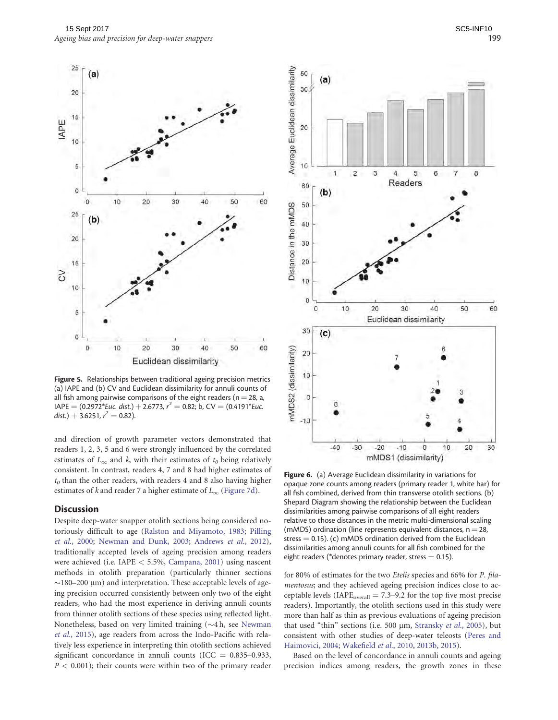<span id="page-8-0"></span>

Figure 5. Relationships between traditional ageing precision metrics (a) IAPE and (b) CV and Euclidean dissimilarity for annuli counts of all fish among pairwise comparisons of the eight readers ( $n = 28$ , a,  $IAPE = (0.2972*Euc. dist.) + 2.6773, r^2 = 0.82; b, CV = (0.4191*Euc.$ dist.)  $+$  3.6251,  $r^2 = 0.82$ ).

and direction of growth parameter vectors demonstrated that readers 1, 2, 3, 5 and 6 were strongly influenced by the correlated estimates of  $L_{\infty}$  and k, with their estimates of  $t_0$  being relatively consistent. In contrast, readers 4, 7 and 8 had higher estimates of  $t_0$  than the other readers, with readers 4 and 8 also having higher estimates of k and reader 7 a higher estimate of  $L_{\infty}$  ([Figure 7d\)](#page-9-0).

#### **Discussion**

Despite deep-water snapper otolith sections being considered notoriously difficult to age [\(Ralston and Miyamoto, 1983](#page-11-0); [Pilling](#page-11-0) et al.[, 2000](#page-11-0); [Newman and Dunk, 2003](#page-11-0); [Andrews](#page-10-0) et al., 2012), traditionally accepted levels of ageing precision among readers were achieved (i.e. IAPE < 5.5%, [Campana, 2001\)](#page-11-0) using nascent methods in otolith preparation (particularly thinner sections  $\sim$ 180–200  $\mu$ m) and interpretation. These acceptable levels of ageing precision occurred consistently between only two of the eight readers, who had the most experience in deriving annuli counts from thinner otolith sections of these species using reflected light. Nonetheless, based on very limited training ( ${\sim}4\,\text{h}$ , see [Newman](#page-11-0) et al.[, 2015](#page-11-0)), age readers from across the Indo-Pacific with relatively less experience in interpreting thin otolith sections achieved significant concordance in annuli counts (ICC =  $0.835-0.933$ ,  $P < 0.001$ ); their counts were within two of the primary reader



Figure 6. (a) Average Euclidean dissimilarity in variations for opaque zone counts among readers (primary reader 1, white bar) for all fish combined, derived from thin transverse otolith sections. (b) Shepard Diagram showing the relationship between the Euclidean dissimilarities among pairwise comparisons of all eight readers relative to those distances in the metric multi-dimensional scaling (mMDS) ordination (line represents equivalent distances,  $n = 28$ , stress  $= 0.15$ ). (c) mMDS ordination derived from the Euclidean dissimilarities among annuli counts for all fish combined for the eight readers (\*denotes primary reader, stress  $= 0.15$ ).

for 80% of estimates for the two Etelis species and 66% for P. filamentosus; and they achieved ageing precision indices close to acceptable levels ( $IAPE_{overall} = 7.3-9.2$  for the top five most precise readers). Importantly, the otolith sections used in this study were more than half as thin as previous evaluations of ageing precision that used "thin" sections (i.e. 500  $\mu$ m, [Stransky](#page-11-0) et al., 2005), but consistent with other studies of deep-water teleosts [\(Peres and](#page-11-0) [Haimovici, 2004;](#page-11-0) [Wakefield](#page-11-0) et al., 2010, [2013b, 2015](#page-11-0)).

Based on the level of concordance in annuli counts and ageing precision indices among readers, the growth zones in these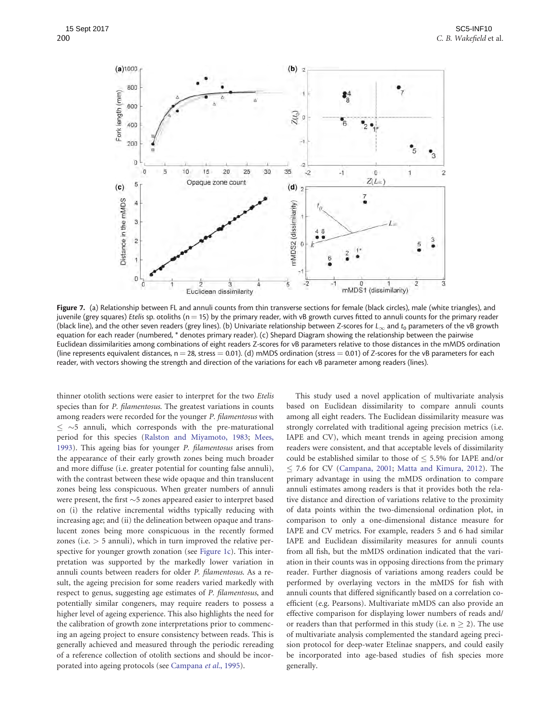<span id="page-9-0"></span>

Figure 7. (a) Relationship between FL and annuli counts from thin transverse sections for female (black circles), male (white triangles), and juvenile (grey squares) Etelis sp. otoliths ( $n = 15$ ) by the primary reader, with vB growth curves fitted to annuli counts for the primary reader (black line), and the other seven readers (grey lines). (b) Univariate relationship between Z-scores for  $L_{\infty}$  and  $t_0$  parameters of the vB growth equation for each reader (numbered, \* denotes primary reader). (c) Shepard Diagram showing the relationship between the pairwise Euclidean dissimilarities among combinations of eight readers Z-scores for vB parameters relative to those distances in the mMDS ordination (line represents equivalent distances,  $n = 28$ , stress = 0.01). (d) mMDS ordination (stress = 0.01) of Z-scores for the vB parameters for each reader, with vectors showing the strength and direction of the variations for each vB parameter among readers (lines).

thinner otolith sections were easier to interpret for the two Etelis species than for P. filamentosus. The greatest variations in counts among readers were recorded for the younger P. filamentosus with  $\leq$   $\sim$ 5 annuli, which corresponds with the pre-maturational period for this species ([Ralston and Miyamoto, 1983](#page-11-0); [Mees,](#page-11-0) [1993\)](#page-11-0). This ageing bias for younger P. filamentosus arises from the appearance of their early growth zones being much broader and more diffuse (i.e. greater potential for counting false annuli), with the contrast between these wide opaque and thin translucent zones being less conspicuous. When greater numbers of annuli were present, the first  ${\sim}5$  zones appeared easier to interpret based on (i) the relative incremental widths typically reducing with increasing age; and (ii) the delineation between opaque and translucent zones being more conspicuous in the recently formed zones (i.e.  $> 5$  annuli), which in turn improved the relative perspective for younger growth zonation (see [Figure 1c](#page-5-0)). This interpretation was supported by the markedly lower variation in annuli counts between readers for older P. filamentosus. As a result, the ageing precision for some readers varied markedly with respect to genus, suggesting age estimates of P. filamentosus, and potentially similar congeners, may require readers to possess a higher level of ageing experience. This also highlights the need for the calibration of growth zone interpretations prior to commencing an ageing project to ensure consistency between reads. This is generally achieved and measured through the periodic rereading of a reference collection of otolith sections and should be incorporated into ageing protocols (see [Campana](#page-11-0) et al., 1995).

This study used a novel application of multivariate analysis based on Euclidean dissimilarity to compare annuli counts among all eight readers. The Euclidean dissimilarity measure was strongly correlated with traditional ageing precision metrics (i.e. IAPE and CV), which meant trends in ageing precision among readers were consistent, and that acceptable levels of dissimilarity could be established similar to those of  $\leq 5.5\%$  for IAPE and/or  $\leq$  7.6 for CV ([Campana, 2001;](#page-11-0) [Matta and Kimura, 2012\)](#page-11-0). The primary advantage in using the mMDS ordination to compare annuli estimates among readers is that it provides both the relative distance and direction of variations relative to the proximity of data points within the two-dimensional ordination plot, in comparison to only a one-dimensional distance measure for IAPE and CV metrics. For example, readers 5 and 6 had similar IAPE and Euclidean dissimilarity measures for annuli counts from all fish, but the mMDS ordination indicated that the variation in their counts was in opposing directions from the primary reader. Further diagnosis of variations among readers could be performed by overlaying vectors in the mMDS for fish with annuli counts that differed significantly based on a correlation coefficient (e.g. Pearsons). Multivariate mMDS can also provide an effective comparison for displaying lower numbers of reads and/ or readers than that performed in this study (i.e.  $n > 2$ ). The use of multivariate analysis complemented the standard ageing precision protocol for deep-water Etelinae snappers, and could easily be incorporated into age-based studies of fish species more generally.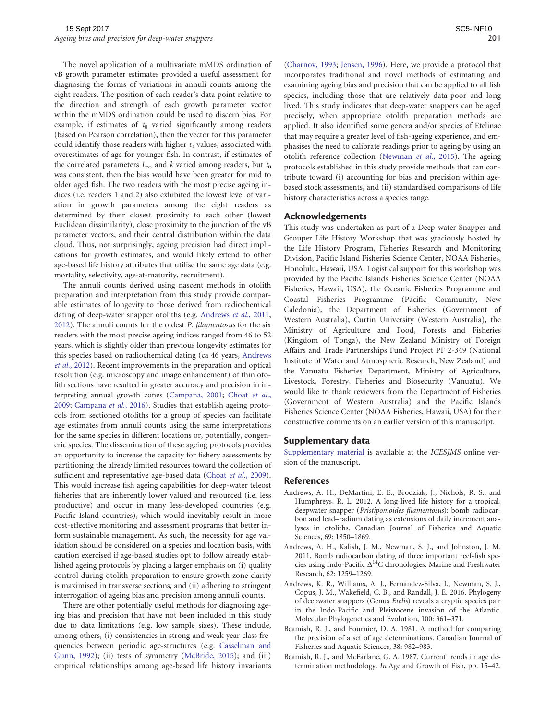<span id="page-10-0"></span>The novel application of a multivariate mMDS ordination of vB growth parameter estimates provided a useful assessment for diagnosing the forms of variations in annuli counts among the eight readers. The position of each reader's data point relative to the direction and strength of each growth parameter vector within the mMDS ordination could be used to discern bias. For example, if estimates of  $t_0$  varied significantly among readers (based on Pearson correlation), then the vector for this parameter could identify those readers with higher  $t_0$  values, associated with overestimates of age for younger fish. In contrast, if estimates of the correlated parameters  $L_{\infty}$  and k varied among readers, but  $t_0$ was consistent, then the bias would have been greater for mid to older aged fish. The two readers with the most precise ageing indices (i.e. readers 1 and 2) also exhibited the lowest level of variation in growth parameters among the eight readers as determined by their closest proximity to each other (lowest Euclidean dissimilarity), close proximity to the junction of the vB parameter vectors, and their central distribution within the data cloud. Thus, not surprisingly, ageing precision had direct implications for growth estimates, and would likely extend to other age-based life history attributes that utilise the same age data (e.g. mortality, selectivity, age-at-maturity, recruitment).

The annuli counts derived using nascent methods in otolith preparation and interpretation from this study provide comparable estimates of longevity to those derived from radiochemical dating of deep-water snapper otoliths (e.g. Andrews et al., 2011, 2012). The annuli counts for the oldest P. filamentosus for the six readers with the most precise ageing indices ranged from 46 to 52 years, which is slightly older than previous longevity estimates for this species based on radiochemical dating (ca 46 years, Andrews et al., 2012). Recent improvements in the preparation and optical resolution (e.g. microscopy and image enhancement) of thin otolith sections have resulted in greater accuracy and precision in interpreting annual growth zones ([Campana, 2001](#page-11-0); [Choat](#page-11-0) et al., [2009;](#page-11-0) [Campana](#page-11-0) et al., 2016). Studies that establish ageing protocols from sectioned otoliths for a group of species can facilitate age estimates from annuli counts using the same interpretations for the same species in different locations or, potentially, congeneric species. The dissemination of these ageing protocols provides an opportunity to increase the capacity for fishery assessments by partitioning the already limited resources toward the collection of sufficient and representative age-based data [\(Choat](#page-11-0) et al., 2009). This would increase fish ageing capabilities for deep-water teleost fisheries that are inherently lower valued and resourced (i.e. less productive) and occur in many less-developed countries (e.g. Pacific Island countries), which would inevitably result in more cost-effective monitoring and assessment programs that better inform sustainable management. As such, the necessity for age validation should be considered on a species and location basis, with caution exercised if age-based studies opt to follow already established ageing protocols by placing a larger emphasis on (i) quality control during otolith preparation to ensure growth zone clarity is maximised in transverse sections, and (ii) adhering to stringent interrogation of ageing bias and precision among annuli counts.

There are other potentially useful methods for diagnosing ageing bias and precision that have not been included in this study due to data limitations (e.g. low sample sizes). These include, among others, (i) consistencies in strong and weak year class frequencies between periodic age-structures (e.g. [Casselman and](#page-11-0) [Gunn, 1992\)](#page-11-0); (ii) tests of symmetry [\(McBride, 2015\)](#page-11-0); and (iii) empirical relationships among age-based life history invariants

[\(Charnov, 1993](#page-11-0); [Jensen, 1996\)](#page-11-0). Here, we provide a protocol that incorporates traditional and novel methods of estimating and examining ageing bias and precision that can be applied to all fish species, including those that are relatively data-poor and long lived. This study indicates that deep-water snappers can be aged precisely, when appropriate otolith preparation methods are applied. It also identified some genera and/or species of Etelinae that may require a greater level of fish-ageing experience, and emphasises the need to calibrate readings prior to ageing by using an otolith reference collection ([Newman](#page-11-0) et al., 2015). The ageing protocols established in this study provide methods that can contribute toward (i) accounting for bias and precision within agebased stock assessments, and (ii) standardised comparisons of life history characteristics across a species range.

#### Acknowledgements

This study was undertaken as part of a Deep-water Snapper and Grouper Life History Workshop that was graciously hosted by the Life History Program, Fisheries Research and Monitoring Division, Pacific Island Fisheries Science Center, NOAA Fisheries, Honolulu, Hawaii, USA. Logistical support for this workshop was provided by the Pacific Islands Fisheries Science Center (NOAA Fisheries, Hawaii, USA), the Oceanic Fisheries Programme and Coastal Fisheries Programme (Pacific Community, New Caledonia), the Department of Fisheries (Government of Western Australia), Curtin University (Western Australia), the Ministry of Agriculture and Food, Forests and Fisheries (Kingdom of Tonga), the New Zealand Ministry of Foreign Affairs and Trade Partnerships Fund Project PF 2-349 (National Institute of Water and Atmospheric Research, New Zealand) and the Vanuatu Fisheries Department, Ministry of Agriculture, Livestock, Forestry, Fisheries and Biosecurity (Vanuatu). We would like to thank reviewers from the Department of Fisheries (Government of Western Australia) and the Pacific Islands Fisheries Science Center (NOAA Fisheries, Hawaii, USA) for their constructive comments on an earlier version of this manuscript.

#### Supplementary data

[Supplementary material](http://icesjms.oxfordjournals.org/lookup/suppl/doi:10.1093/icesjms/fsw162/-/DC1) is available at the ICESJMS online version of the manuscript.

#### References

- Andrews, A. H., DeMartini, E. E., Brodziak, J., Nichols, R. S., and Humphreys, R. L. 2012. A long-lived life history for a tropical, deepwater snapper (Pristipomoides filamentosus): bomb radiocarbon and lead–radium dating as extensions of daily increment analyses in otoliths. Canadian Journal of Fisheries and Aquatic Sciences, 69: 1850–1869.
- Andrews, A. H., Kalish, J. M., Newman, S. J., and Johnston, J. M. 2011. Bomb radiocarbon dating of three important reef-fish species using Indo-Pacific  $\Delta^{14}$ C chronologies. Marine and Freshwater Research, 62: 1259–1269.
- Andrews, K. R., Williams, A. J., Fernandez-Silva, I., Newman, S. J., Copus, J. M., Wakefield, C. B., and Randall, J. E. 2016. Phylogeny of deepwater snappers (Genus Etelis) reveals a cryptic species pair in the Indo-Pacific and Pleistocene invasion of the Atlantic. Molecular Phylogenetics and Evolution, 100: 361–371.
- Beamish, R. J., and Fournier, D. A. 1981. A method for comparing the precision of a set of age determinations. Canadian Journal of Fisheries and Aquatic Sciences, 38: 982–983.
- Beamish, R. J., and McFarlane, G. A. 1987. Current trends in age determination methodology. In Age and Growth of Fish, pp. 15–42.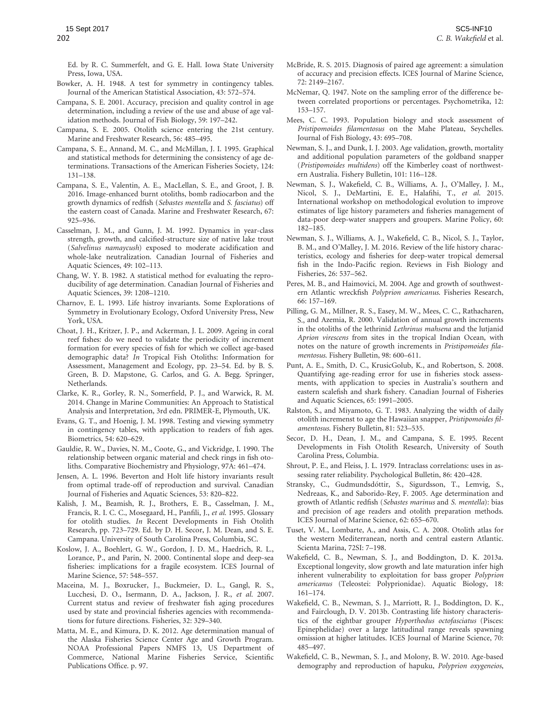<span id="page-11-0"></span>Ed. by R. C. Summerfelt, and G. E. Hall. Iowa State University Press, Iowa, USA.

- Bowker, A. H. 1948. A test for symmetry in contingency tables. Journal of the American Statistical Association, 43: 572–574.
- Campana, S. E. 2001. Accuracy, precision and quality control in age determination, including a review of the use and abuse of age validation methods. Journal of Fish Biology, 59: 197–242.
- Campana, S. E. 2005. Otolith science entering the 21st century. Marine and Freshwater Research, 56: 485–495.
- Campana, S. E., Annand, M. C., and McMillan, J. I. 1995. Graphical and statistical methods for determining the consistency of age determinations. Transactions of the American Fisheries Society, 124: 131–138.
- Campana, S. E., Valentin, A. E., MacLellan, S. E., and Groot, J. B. 2016. Image-enhanced burnt otoliths, bomb radiocarbon and the growth dynamics of redfish (Sebastes mentella and S. fasciatus) off the eastern coast of Canada. Marine and Freshwater Research, 67: 925–936.
- Casselman, J. M., and Gunn, J. M. 1992. Dynamics in year-class strength, growth, and calcified-structure size of native lake trout (Salvelinus namaycush) exposed to moderate acidification and whole-lake neutralization. Canadian Journal of Fisheries and Aquatic Sciences, 49: 102–113.
- Chang, W. Y. B. 1982. A statistical method for evaluating the reproducibility of age determination. Canadian Journal of Fisheries and Aquatic Sciences, 39: 1208–1210.
- Charnov, E. L. 1993. Life histroy invariants. Some Explorations of Symmetry in Evolutionary Ecology, Oxford University Press, New York, USA.
- Choat, J. H., Kritzer, J. P., and Ackerman, J. L. 2009. Ageing in coral reef fishes: do we need to validate the periodicity of increment formation for every species of fish for which we collect age-based demographic data? In Tropical Fish Otoliths: Information for Assessment, Management and Ecology, pp. 23–54. Ed. by B. S. Green, B. D. Mapstone, G. Carlos, and G. A. Begg. Springer, Netherlands.
- Clarke, K. R., Gorley, R. N., Somerfield, P. J., and Warwick, R. M. 2014. Change in Marine Communities: An Approach to Statistical Analysis and Interpretation, 3rd edn. PRIMER-E, Plymouth, UK.
- Evans, G. T., and Hoenig, J. M. 1998. Testing and viewing symmetry in contingency tables, with application to readers of fish ages. Biometrics, 54: 620–629.
- Gauldie, R. W., Davies, N. M., Coote, G., and Vickridge, I. 1990. The relationship between organic material and check rings in fish otoliths. Comparative Biochemistry and Physiology, 97A: 461–474.
- Jensen, A. L. 1996. Beverton and Holt life history invariants result from optimal trade-off of reproduction and survival. Canadian Journal of Fisheries and Aquatic Sciences, 53: 820–822.
- Kalish, J. M., Beamish, R. J., Brothers, E. B., Casselman, J. M., Francis, R. I. C. C., Mosegaard, H., Panfili, J., et al. 1995. Glossary for otolith studies. In Recent Developments in Fish Otolith Research, pp. 723–729. Ed. by D. H. Secor, J. M. Dean, and S. E. Campana. University of South Carolina Press, Columbia, SC.
- Koslow, J. A., Boehlert, G. W., Gordon, J. D. M., Haedrich, R. L., Lorance, P., and Parin, N. 2000. Continental slope and deep-sea fisheries: implications for a fragile ecosystem. ICES Journal of Marine Science, 57: 548–557.
- Maceina, M. J., Boxrucker, J., Buckmeier, D. L., Gangl, R. S., Lucchesi, D. O., Isermann, D. A., Jackson, J. R., et al. 2007. Current status and review of freshwater fish aging procedures used by state and provincial fisheries agencies with recommendations for future directions. Fisheries, 32: 329–340.
- Matta, M. E., and Kimura, D. K. 2012. Age determination manual of the Alaska Fisheries Science Center Age and Growth Program. NOAA Professional Papers NMFS 13, US Department of Commerce, National Marine Fisheries Service, Scientific Publications Office. p. 97.
- McBride, R. S. 2015. Diagnosis of paired age agreement: a simulation of accuracy and precision effects. ICES Journal of Marine Science, 72: 2149–2167.
- McNemar, Q. 1947. Note on the sampling error of the difference between correlated proportions or percentages. Psychometrika, 12: 153–157.
- Mees, C. C. 1993. Population biology and stock assessment of Pristipomoides filamentosus on the Mahe Plateau, Seychelles. Journal of Fish Biology, 43: 695–708.
- Newman, S. J., and Dunk, I. J. 2003. Age validation, growth, mortality and additional population parameters of the goldband snapper (Pristipomoides multidens) off the Kimberley coast of northwestern Australia. Fishery Bulletin, 101: 116–128.
- Newman, S. J., Wakefield, C. B., Williams, A. J., O'Malley, J. M., Nicol, S. J., DeMartini, E. E., Halafihi, T., et al. 2015. International workshop on methodological evolution to improve estimates of lige history parameters and fisheries management of data-poor deep-water snappers and groupers. Marine Policy, 60: 182–185.
- Newman, S. J., Williams, A. J., Wakefield, C. B., Nicol, S. J., Taylor, B. M., and O'Malley, J. M. 2016. Review of the life history characteristics, ecology and fisheries for deep-water tropical demersal fish in the Indo-Pacific region. Reviews in Fish Biology and Fisheries, 26: 537–562.
- Peres, M. B., and Haimovici, M. 2004. Age and growth of southwestern Atlantic wreckfish Polyprion americanus. Fisheries Research, 66: 157–169.
- Pilling, G. M., Millner, R. S., Easey, M. W., Mees, C. C., Rathacharen, S., and Azemia, R. 2000. Validation of annual growth increments in the otoliths of the lethrinid Lethrinus mahsena and the lutjanid Aprion virescens from sites in the tropical Indian Ocean, with notes on the nature of growth increments in Pristipomoides filamentosus. Fishery Bulletin, 98: 600–611.
- Punt, A. E., Smith, D. C., KrusicGolub, K., and Robertson, S. 2008. Quantifying age-reading error for use in fisheries stock assessments, with application to species in Australia's southern and eastern scalefish and shark fishery. Canadian Journal of Fisheries and Aquatic Sciences, 65: 1991–2005.
- Ralston, S., and Miyamoto, G. T. 1983. Analyzing the width of daily otolith incremenst to age the Hawaiian snapper, Pristipomoides filamentosus. Fishery Bulletin, 81: 523–535.
- Secor, D. H., Dean, J. M., and Campana, S. E. 1995. Recent Developments in Fish Otolith Research, University of South Carolina Press, Columbia.
- Shrout, P. E., and Fleiss, J. L. 1979. Intraclass correlations: uses in assessing rater reliability. Psychological Bulletin, 86: 420–428.
- Stransky, C., Gudmundsdóttir, S., Sigurdsson, T., Lemvig, S., Nedreaas, K., and Saborido-Rey, F. 2005. Age determination and growth of Atlantic redfish (Sebastes marinus and S. mentella): bias and precision of age readers and otolith preparation methods. ICES Journal of Marine Science, 62: 655–670.
- Tuset, V. M., Lombarte, A., and Assis, C. A. 2008. Otolith atlas for the western Mediterranean, north and central eastern Atlantic. Scienta Marina, 72SI: 7–198.
- Wakefield, C. B., Newman, S. J., and Boddington, D. K. 2013a. Exceptional longevity, slow growth and late maturation infer high inherent vulnerability to exploitation for bass groper Polyprion americanus (Teleostei: Polyprionidae). Aquatic Biology, 18: 161–174.
- Wakefield, C. B., Newman, S. J., Marriott, R. J., Boddington, D. K., and Fairclough, D. V. 2013b. Contrasting life history characteristics of the eightbar grouper Hyporthodus octofasciatus (Pisces: Epinephelidae) over a large latitudinal range reveals spawning omission at higher latitudes. ICES Journal of Marine Science, 70: 485–497.
- Wakefield, C. B., Newman, S. J., and Molony, B. W. 2010. Age-based demography and reproduction of hapuku, Polyprion oxygeneios,